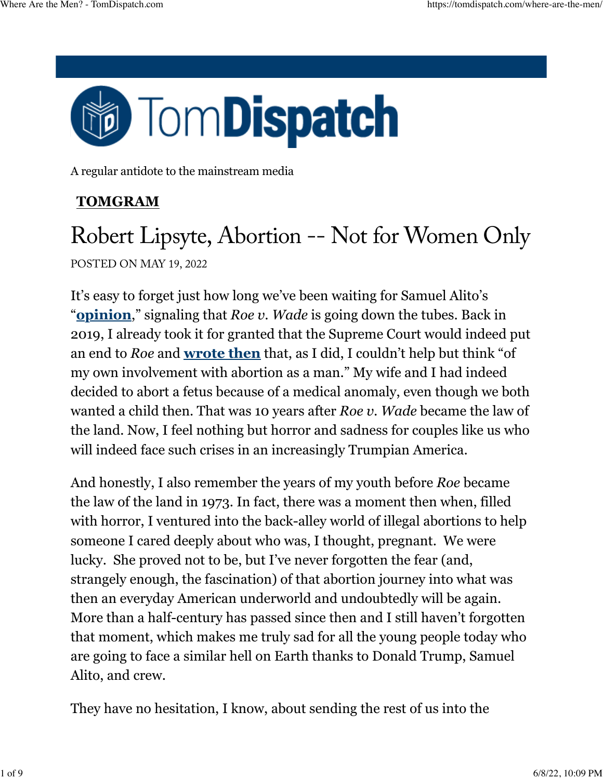

A regular antidote to the mainstream media

### **[TOMGRAM](https://tomdispatch.com/category/tomgram/)**

## Robert Lipsyte, Abortion -- Not for Women Only POSTED ON MAY 19, 2022

It's easy to forget just how long we've been waiting for Samuel Alito's "**[opinion](https://www.politico.com/news/2022/05/02/supreme-court-abortion-draft-opinion-00029473)**," signaling that *Roe v. Wade* is going down the tubes. Back in 2019, I already took it for granted that the Supreme Court would indeed put an end to *Roe* and **[wrote then](https://tomdispatch.com/the-personal-is-still-political)** that, as I did, I couldn't help but think "of my own involvement with abortion as a man." My wife and I had indeed decided to abort a fetus because of a medical anomaly, even though we both wanted a child then. That was 10 years after *Roe v. Wade* became the law of the land. Now, I feel nothing but horror and sadness for couples like us who will indeed face such crises in an increasingly Trumpian America.

And honestly, I also remember the years of my youth before *Roe* became the law of the land in 1973. In fact, there was a moment then when, filled with horror, I ventured into the back-alley world of illegal abortions to help someone I cared deeply about who was, I thought, pregnant. We were lucky. She proved not to be, but I've never forgotten the fear (and, strangely enough, the fascination) of that abortion journey into what was then an everyday American underworld and undoubtedly will be again. More than a half-century has passed since then and I still haven't forgotten that moment, which makes me truly sad for all the young people today who are going to face a similar hell on Earth thanks to Donald Trump, Samuel Alito, and crew.

They have no hesitation, I know, about sending the rest of us into the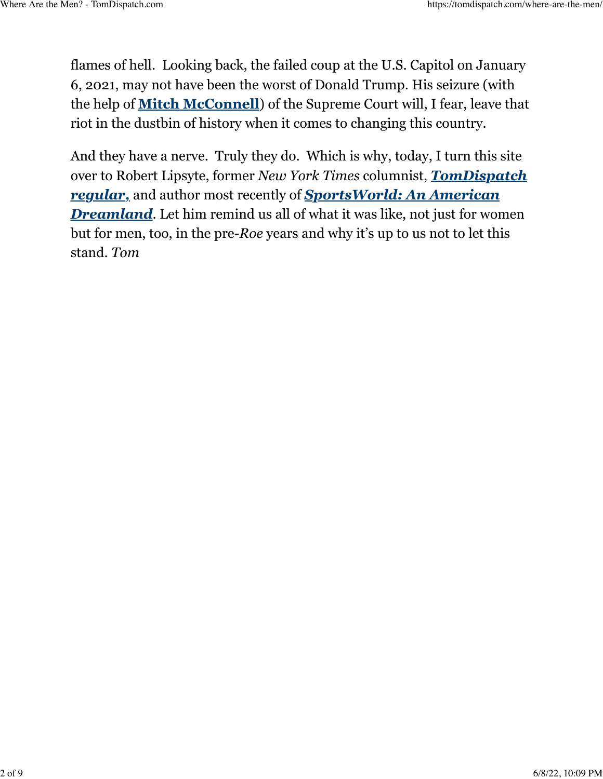flames of hell. Looking back, the failed coup at the U.S. Capitol on January 6, 2021, may not have been the worst of Donald Trump. His seizure (with the help of **[Mitch McConnell](https://www.brookings.edu/blog/fixgov/2020/09/24/mcconnells-fabricated-history-to-justify-a-2020-supreme-court-vote/)**) of the Supreme Court will, I fear, leave that riot in the dustbin of history when it comes to changing this country.

And they have a nerve. Truly they do. Which is why, today, I turn this site over to Robert Lipsyte, former *New York Times* columnist, *[TomDispatch](https://tomdispatch.com/why-is-ali-the-last-american-hero/) [regular,](https://tomdispatch.com/why-is-ali-the-last-american-hero/)* and author most recently of *[SportsWorld: An American](https://www.amazon.com/dp/0813593190/ref=nosim/?tag=tomdispatch-20) [Dreamland](https://www.amazon.com/dp/0813593190/ref=nosim/?tag=tomdispatch-20)*. Let him remind us all of what it was like, not just for women but for men, too, in the pre-*Roe* years and why it's up to us not to let this stand. *Tom*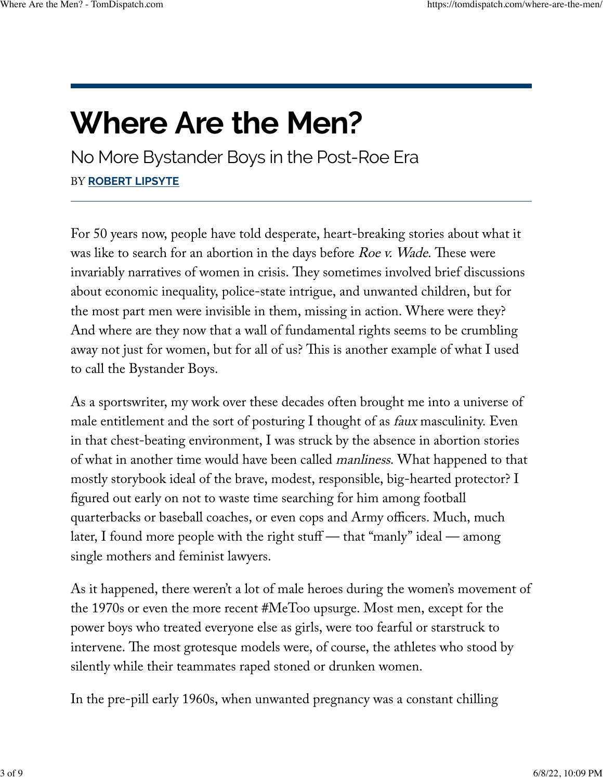# **Where Are the Men?**

No More Bystander Boys in the Post-Roe Era BY **[ROBERT](https://tomdispatch.com/authors/robertlipsyte/) LIPSYTE**

For 50 years now, people have told desperate, heart-breaking stories about what it was like to search for an abortion in the days before  $Roe$  v. Wade. These were invariably narratives of women in crisis. They sometimes involved brief discussions about economic inequality, police-state intrigue, and unwanted children, but for the most part men were invisible in them, missing in action. Where were they? And where are they now that a wall of fundamental rights seems to be crumbling away not just for women, but for all of us? This is another example of what I used to call the Bystander Boys.

As a sportswriter, my work over these decades often brought me into a universe of male entitlement and the sort of posturing I thought of as *faux* masculinity. Even in that chest-beating environment, I was struck by the absence in abortion stories of what in another time would have been called manliness. What happened to that mostly storybook ideal of the brave, modest, responsible, big-hearted protector? I figured out early on not to waste time searching for him among football quarterbacks or baseball coaches, or even cops and Army officers. Much, much later, I found more people with the right stuff — that "manly" ideal — among single mothers and feminist lawyers.

As it happened, there weren't a lot of male heroes during the women's movement of the 1970s or even the more recent #MeToo upsurge. Most men, except for the power boys who treated everyone else as girls, were too fearful or starstruck to intervene. The most grotesque models were, of course, the athletes who stood by silently while their teammates raped stoned or drunken women.

In the pre-pill early 1960s, when unwanted pregnancy was a constant chilling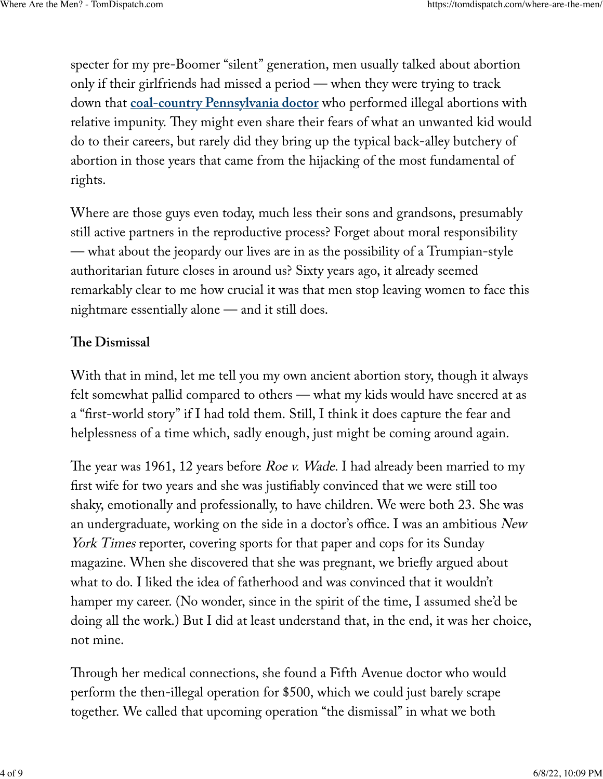specter for my pre-Boomer "silent" generation, men usually talked about abortion only if their girlfriends had missed a period — when they were trying to track down that **[coal-country Pennsylvania doctor](https://www.wnep.com/article/news/local/schuylkill-county/the-history-of-the-angel-of-ashland-vincent-genovese-doctor-robert-spencer-coal-mine-area-schuylkill-county-abortion/523-46951be6-3947-4ac4-b074-05db58a305a0)** who performed illegal abortions with relative impunity. They might even share their fears of what an unwanted kid would do to their careers, but rarely did they bring up the typical back-alley butchery of abortion in those years that came from the hijacking of the most fundamental of rights.

Where are those guys even today, much less their sons and grandsons, presumably still active partners in the reproductive process? Forget about moral responsibility — what about the jeopardy our lives are in as the possibility of a Trumpian-style authoritarian future closes in around us? Sixty years ago, it already seemed remarkably clear to me how crucial it was that men stop leaving women to face this nightmare essentially alone — and it still does.

#### **Te Dismissal**

With that in mind, let me tell you my own ancient abortion story, though it always felt somewhat pallid compared to others — what my kids would have sneered at as a "first-world story" if I had told them. Still, I think it does capture the fear and helplessness of a time which, sadly enough, just might be coming around again.

The year was 1961, 12 years before *Roe v. Wade*. I had already been married to my first wife for two years and she was justifiably convinced that we were still too shaky, emotionally and professionally, to have children. We were both 23. She was an undergraduate, working on the side in a doctor's office. I was an ambitious New York Times reporter, covering sports for that paper and cops for its Sunday magazine. When she discovered that she was pregnant, we briefly argued about what to do. I liked the idea of fatherhood and was convinced that it wouldn't hamper my career. (No wonder, since in the spirit of the time, I assumed she'd be doing all the work.) But I did at least understand that, in the end, it was her choice, not mine.

Through her medical connections, she found a Fifth Avenue doctor who would perform the then-illegal operation for \$500, which we could just barely scrape together. We called that upcoming operation "the dismissal" in what we both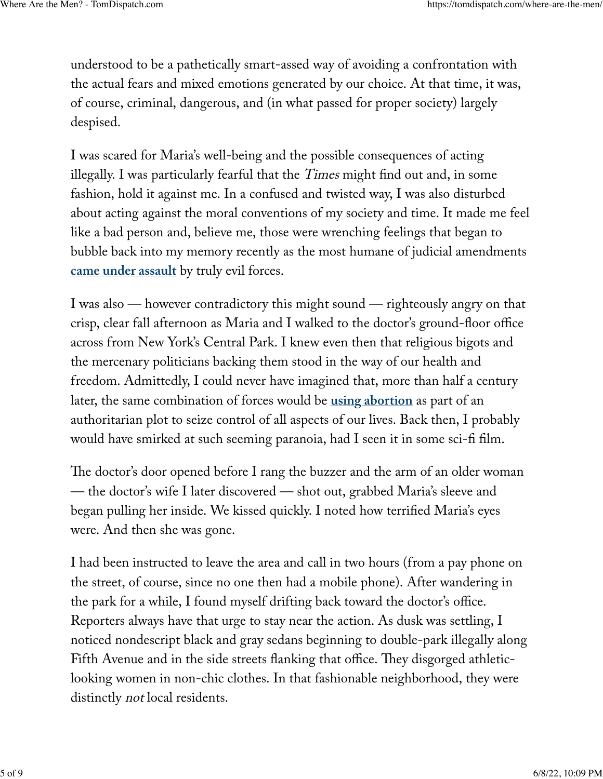understood to be a pathetically smart-assed way of avoiding a confrontation with the actual fears and mixed emotions generated by our choice. At that time, it was, of course, criminal, dangerous, and (in what passed for proper society) largely despised.

I was scared for Maria's well-being and the possible consequences of acting illegally. I was particularly fearful that the Times might find out and, in some fashion, hold it against me. In a confused and twisted way, I was also disturbed about acting against the moral conventions of my society and time. It made me feel like a bad person and, believe me, those were wrenching feelings that began to bubble back into my memory recently as the most humane of judicial amendments **[came under assault](https://www.nytimes.com/2022/05/08/opinion/supreme-court-oppression.html)** by truly evil forces.

I was also — however contradictory this might sound — righteously angry on that crisp, clear fall afternoon as Maria and I walked to the doctor's ground-floor office across from New York's Central Park. I knew even then that religious bigots and the mercenary politicians backing them stood in the way of our health and freedom. Admittedly, I could never have imagined that, more than half a century later, the same combination of forces would be **[using abortion](https://www.theguardian.com/us-news/2022/may/05/trump-abortion-supreme-court)** as part of an authoritarian plot to seize control of all aspects of our lives. Back then, I probably would have smirked at such seeming paranoia, had I seen it in some sci-fi film.

The doctor's door opened before I rang the buzzer and the arm of an older woman — the doctor's wife I later discovered — shot out, grabbed Maria's sleeve and began pulling her inside. We kissed quickly. I noted how terrified Maria's eyes were. And then she was gone.

I had been instructed to leave the area and call in two hours (from a pay phone on the street, of course, since no one then had a mobile phone). After wandering in the park for a while, I found myself drifting back toward the doctor's office. Reporters always have that urge to stay near the action. As dusk was settling, I noticed nondescript black and gray sedans beginning to double-park illegally along Fifth Avenue and in the side streets flanking that office. They disgorged athleticlooking women in non-chic clothes. In that fashionable neighborhood, they were distinctly not local residents.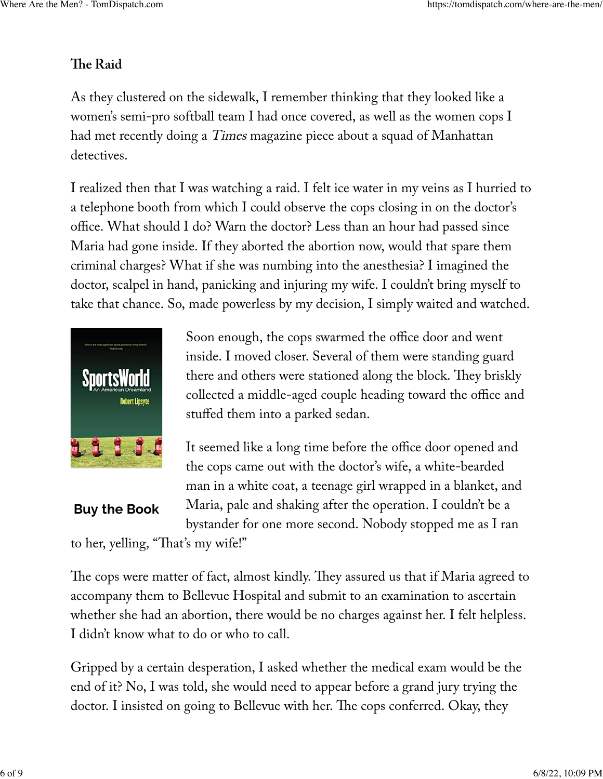#### **Te Raid**

As they clustered on the sidewalk, I remember thinking that they looked like a women's semi-pro softball team I had once covered, as well as the women cops I had met recently doing a Times magazine piece about a squad of Manhattan detectives.

I realized then that I was watching a raid. I felt ice water in my veins as I hurried to a telephone booth from which I could observe the cops closing in on the doctor's office. What should I do? Warn the doctor? Less than an hour had passed since Maria had gone inside. If they aborted the abortion now, would that spare them criminal charges? What if she was numbing into the anesthesia? I imagined the doctor, scalpel in hand, panicking and injuring my wife. I couldn't bring myself to take that chance. So, made powerless by my decision, I simply waited and watched.



Soon enough, the cops swarmed the office door and went inside. I moved closer. Several of them were standing guard there and others were stationed along the block. They briskly collected a middle-aged couple heading toward the office and stuffed them into a parked sedan.

It seemed like a long time before the office door opened and the cops came out with the doctor's wife, a white-bearded man in a white coat, a teenage girl wrapped in a blanket, and Maria, pale and shaking after the operation. I couldn't be a bystander for one more second. Nobody stopped me as I ran

**Buy the [Book](https://www.amazon.com/dp/0813593190/ref=nosim/?tag=tomdispatch-20)**

to her, yelling, "That's my wife!"

The cops were matter of fact, almost kindly. They assured us that if Maria agreed to accompany them to Bellevue Hospital and submit to an examination to ascertain whether she had an abortion, there would be no charges against her. I felt helpless. I didn't know what to do or who to call.

Gripped by a certain desperation, I asked whether the medical exam would be the end of it? No, I was told, she would need to appear before a grand jury trying the doctor. I insisted on going to Bellevue with her. The cops conferred. Okay, they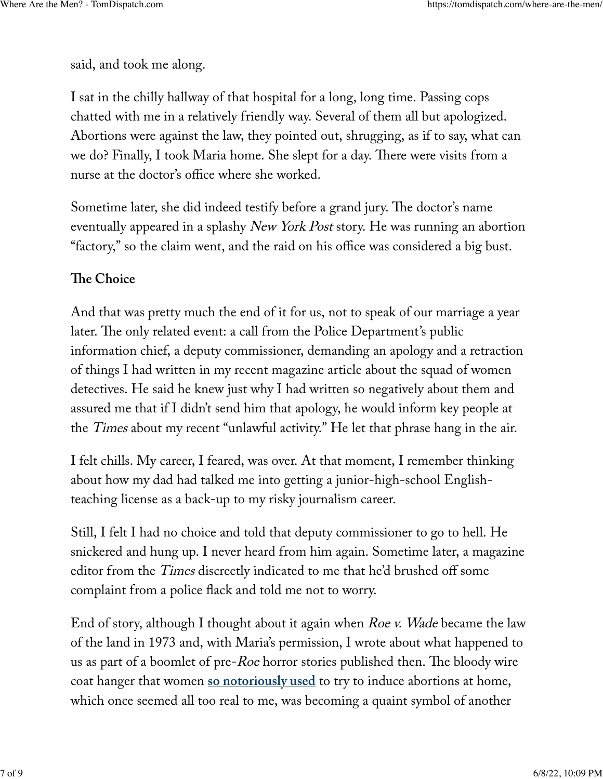said, and took me along.

I sat in the chilly hallway of that hospital for a long, long time. Passing cops chatted with me in a relatively friendly way. Several of them all but apologized. Abortions were against the law, they pointed out, shrugging, as if to say, what can we do? Finally, I took Maria home. She slept for a day. There were visits from a nurse at the doctor's office where she worked.

Sometime later, she did indeed testify before a grand jury. The doctor's name eventually appeared in a splashy New York Post story. He was running an abortion "factory," so the claim went, and the raid on his office was considered a big bust.

#### **Te Choice**

And that was pretty much the end of it for us, not to speak of our marriage a year later. The only related event: a call from the Police Department's public information chief, a deputy commissioner, demanding an apology and a retraction of things I had written in my recent magazine article about the squad of women detectives. He said he knew just why I had written so negatively about them and assured me that if I didn't send him that apology, he would inform key people at the Times about my recent "unlawful activity." He let that phrase hang in the air.

I felt chills. My career, I feared, was over. At that moment, I remember thinking about how my dad had talked me into getting a junior-high-school Englishteaching license as a back-up to my risky journalism career.

Still, I felt I had no choice and told that deputy commissioner to go to hell. He snickered and hung up. I never heard from him again. Sometime later, a magazine editor from the Times discreetly indicated to me that he'd brushed off some complaint from a police flack and told me not to worry.

End of story, although I thought about it again when *Roe v. Wade* became the law of the land in 1973 and, with Maria's permission, I wrote about what happened to us as part of a boomlet of pre- $Roe$  horror stories published then. The bloody wire coat hanger that women **[so notoriously used](https://www.theguardian.com/commentisfree/2015/dec/15/wire-coat-hanger-abortion-stories-united-states)** to try to induce abortions at home, which once seemed all too real to me, was becoming a quaint symbol of another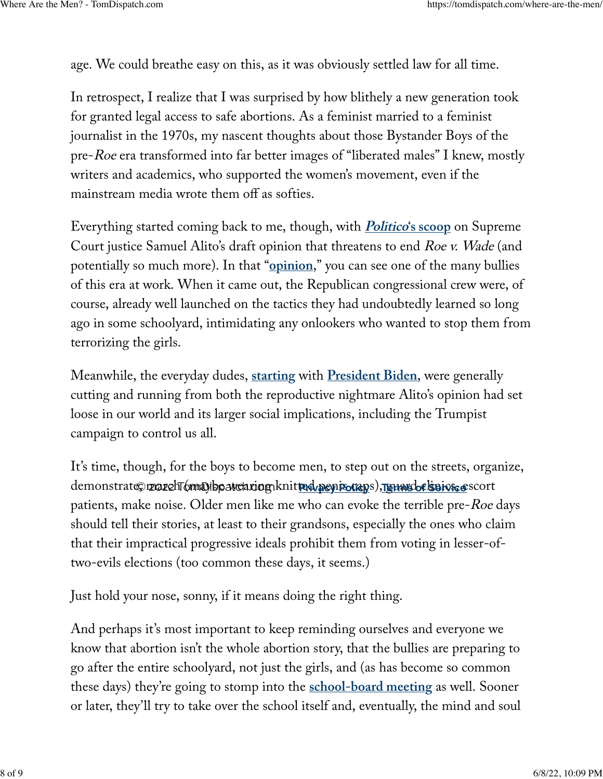age. We could breathe easy on this, as it was obviously settled law for all time.

In retrospect, I realize that I was surprised by how blithely a new generation took for granted legal access to safe abortions. As a feminist married to a feminist journalist in the 1970s, my nascent thoughts about those Bystander Boys of the pre-Roe era transformed into far better images of "liberated males" I knew, mostly writers and academics, who supported the women's movement, even if the mainstream media wrote them off as softies.

Everything started coming back to me, though, with **[Politico](https://www.politico.com/news/2022/05/02/supreme-court-abortion-draft-opinion-00029473)['s scoop](https://www.politico.com/news/2022/05/02/supreme-court-abortion-draft-opinion-00029473)** on Supreme Court justice Samuel Alito's draft opinion that threatens to end Roe v. Wade (and potentially so much more). In that "**[opinion](https://www.politico.com/news/2022/05/02/read-justice-alito-initial-abortion-opinion-overturn-roe-v-wade-pdf-00029504)**," you can see one of the many bullies of this era at work. When it came out, the Republican congressional crew were, of course, already well launched on the tactics they had undoubtedly learned so long ago in some schoolyard, intimidating any onlookers who wanted to stop them from terrorizing the girls.

Meanwhile, the everyday dudes, **[starting](https://www.businessinsider.com/biden-abortion-public-remarks-while-president-2022-5)** with **[President Biden](https://www.nytimes.com/2022/05/05/us/politics/biden-abortion.html)**, were generally cutting and running from both the reproductive nightmare Alito's opinion had set loose in our world and its larger social implications, including the Trumpist campaign to control us all.

It's time, though, for the boys to become men, to step out on the streets, organize,  $\alpha$ demonstrate©r**zczehT6maDibpatciariog**nknit**ted penisorays), <u>reunsdof sei osce</u>scort** patients, make noise. Older men like me who can evoke the terrible pre-Roe days should tell their stories, at least to their grandsons, especially the ones who claim that their impractical progressive ideals prohibit them from voting in lesser-oftwo-evils elections (too common these days, it seems.)

Just hold your nose, sonny, if it means doing the right thing.

And perhaps it's most important to keep reminding ourselves and everyone we know that abortion isn't the whole abortion story, that the bullies are preparing to go after the entire schoolyard, not just the girls, and (as has become so common these days) they're going to stomp into the **[school-board meeting](https://www.nytimes.com/2021/10/27/us/the-conservative-school-board-strategy.html)** as well. Sooner or later, they'll try to take over the school itself and, eventually, the mind and soul